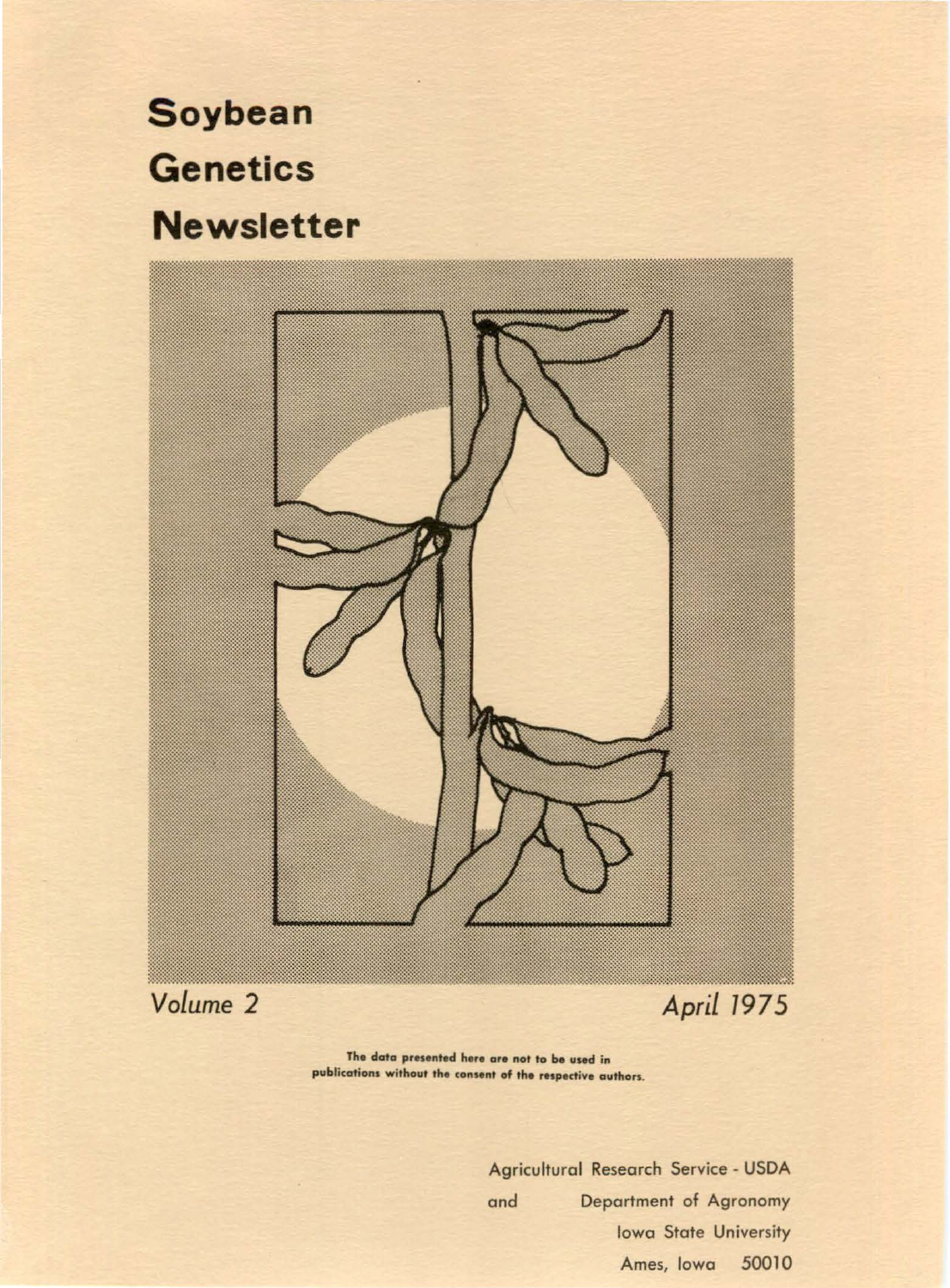# **Soybean Genetics Newsletter**



*Volume* 2 *April 1975* 

The data presented here are not to be used in publicatians without the consent of the respective authors.

> Agricultural Research Service - USDA and Department of Agronomy Iowa State University Ames, Iowa 50010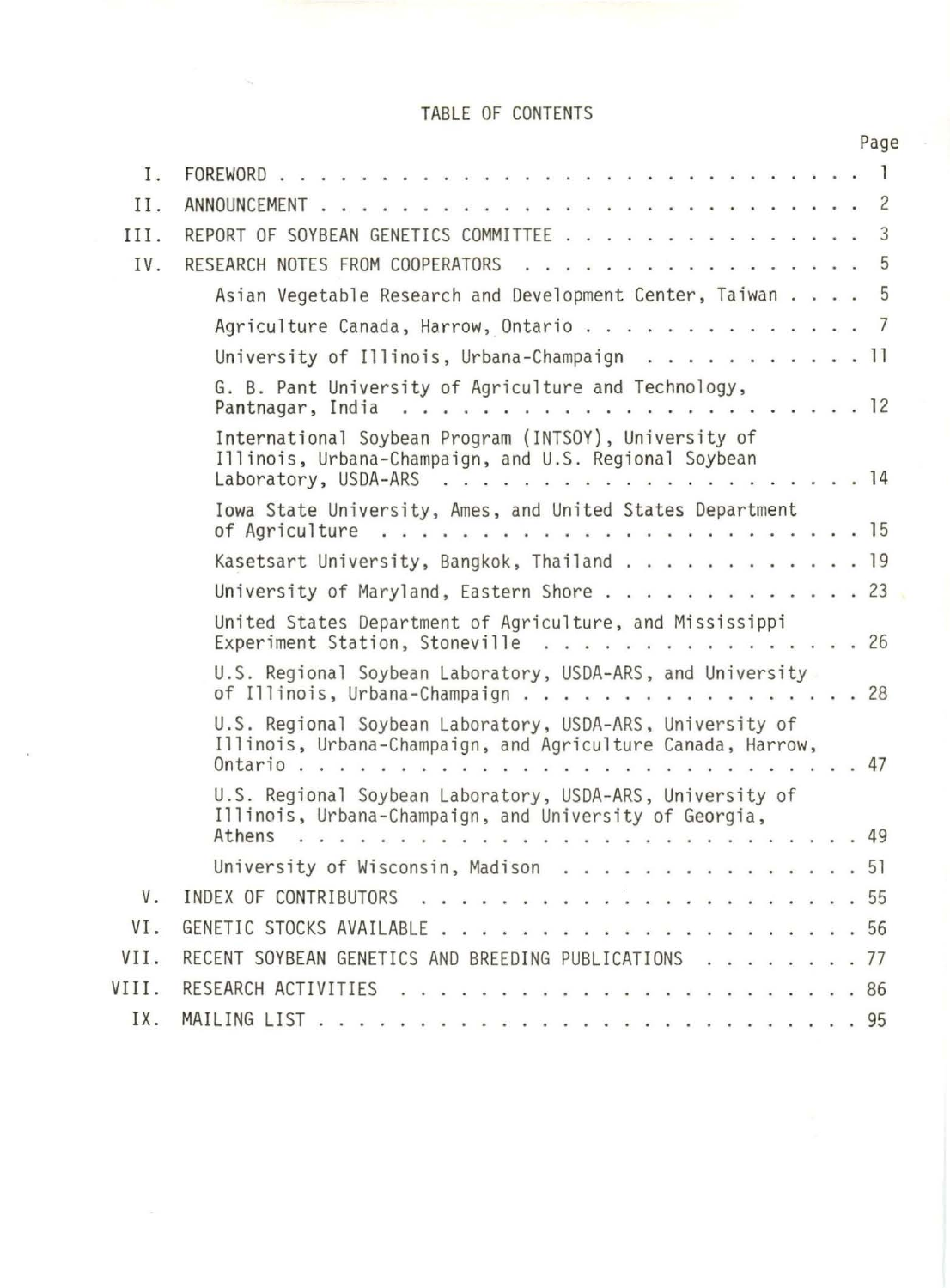## TABLE OF CONTENTS

S.

 $\mathcal{A}$ 

|       |                                                                                                                                | Page |
|-------|--------------------------------------------------------------------------------------------------------------------------------|------|
| Ι.    |                                                                                                                                |      |
| II.   |                                                                                                                                |      |
| III.  | REPORT OF SOYBEAN GENETICS COMMITTEE 3                                                                                         |      |
| IV.   | RESEARCH NOTES FROM COOPERATORS 5                                                                                              |      |
|       | Asian Vegetable Research and Development Center, Taiwan 5                                                                      |      |
|       | Agriculture Canada, Harrow, Ontario 7                                                                                          |      |
|       | University of Illinois, Urbana-Champaign $\ldots \ldots \ldots \ldots$                                                         |      |
|       | G. B. Pant University of Agriculture and Technology,                                                                           |      |
|       | International Soybean Program (INTSOY), University of<br>Illinois, Urbana-Champaign, and U.S. Regional Soybean                 |      |
|       | Iowa State University, Ames, and United States Department<br>of Agriculture $\ldots \ldots \ldots \ldots \ldots \ldots \ldots$ |      |
|       | Kasetsart University, Bangkok, Thailand 19                                                                                     |      |
|       | University of Maryland, Eastern Shore 23                                                                                       |      |
|       | United States Department of Agriculture, and Mississippi<br>Experiment Station, Stoneville 26                                  |      |
|       | U.S. Regional Soybean Laboratory, USDA-ARS, and University<br>of Illinois, Urbana-Champaign 28                                 |      |
|       | U.S. Regional Soybean Laboratory, USDA-ARS, University of<br>Illinois, Urbana-Champaign, and Agriculture Canada, Harrow,       |      |
|       | U.S. Regional Soybean Laboratory, USDA-ARS, University of<br>Illinois, Urbana-Champaign, and University of Georgia,            |      |
|       |                                                                                                                                |      |
|       | University of Wisconsin, Madison 51                                                                                            |      |
| V.    |                                                                                                                                |      |
| VI.   |                                                                                                                                |      |
| VII.  | RECENT SOYBEAN GENETICS AND BREEDING PUBLICATIONS 77                                                                           |      |
| VIII. |                                                                                                                                |      |
| IX.   |                                                                                                                                |      |
|       |                                                                                                                                |      |